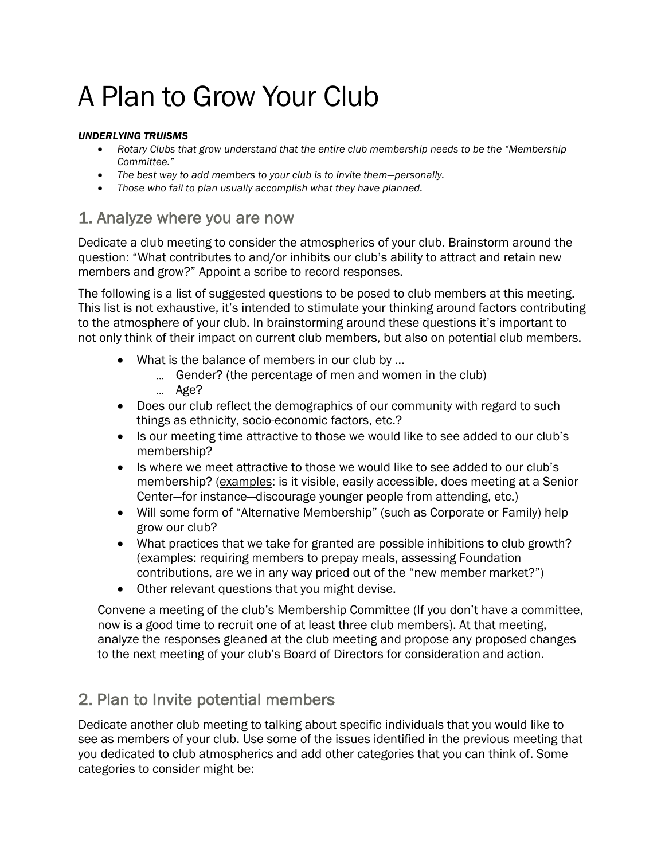# A Plan to Grow Your Club

#### *UNDERLYING TRUISMS*

- *Rotary Clubs that grow understand that the entire club membership needs to be the "Membership Committee."*
- *The best way to add members to your club is to invite them—personally.*
- *Those who fail to plan usually accomplish what they have planned.*

### 1. Analyze where you are now

Dedicate a club meeting to consider the atmospherics of your club. Brainstorm around the question: "What contributes to and/or inhibits our club's ability to attract and retain new members and grow?" Appoint a scribe to record responses.

The following is a list of suggested questions to be posed to club members at this meeting. This list is not exhaustive, it's intended to stimulate your thinking around factors contributing to the atmosphere of your club. In brainstorming around these questions it's important to not only think of their impact on current club members, but also on potential club members.

- What is the balance of members in our club by ...
	- … Gender? (the percentage of men and women in the club)
	- … Age?
- Does our club reflect the demographics of our community with regard to such things as ethnicity, socio-economic factors, etc.?
- Is our meeting time attractive to those we would like to see added to our club's membership?
- Is where we meet attractive to those we would like to see added to our club's membership? (examples: is it visible, easily accessible, does meeting at a Senior Center—for instance—discourage younger people from attending, etc.)
- Will some form of "Alternative Membership" (such as Corporate or Family) help grow our club?
- What practices that we take for granted are possible inhibitions to club growth? (examples: requiring members to prepay meals, assessing Foundation contributions, are we in any way priced out of the "new member market?")
- Other relevant questions that you might devise.

Convene a meeting of the club's Membership Committee (If you don't have a committee, now is a good time to recruit one of at least three club members). At that meeting, analyze the responses gleaned at the club meeting and propose any proposed changes to the next meeting of your club's Board of Directors for consideration and action.

## 2. Plan to Invite potential members

Dedicate another club meeting to talking about specific individuals that you would like to see as members of your club. Use some of the issues identified in the previous meeting that you dedicated to club atmospherics and add other categories that you can think of. Some categories to consider might be: